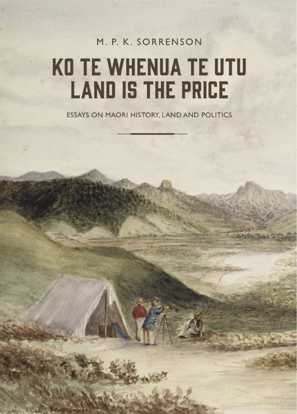## M. P. K. SORRENSON **KO TE WHENUA TE UTU LAND IS THE PRICE**

**ESSAYS ON MAORI HISTORY, LAND AND POLITICS**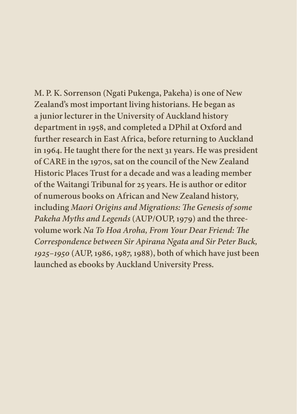**M. P. K. Sorrenson (Ngati Pukenga, Pakeha) is one of New Zealand's most important living historians. He began as a junior lecturer in the University of Auckland history department in 1958, and completed a DPhil at Oxford and further research in East Africa, before returning to Auckland in 1964. He taught there for the next 31 years. He was president of CARE in the 1970s, sat on the council of the New Zealand Historic Places Trust for a decade and was a leading member of the Waitangi Tribunal for 25 years. He is author or editor of numerous books on African and New Zealand history, including** *Maori Origins and Migrations: The Genesis of some Pakeha Myths and Legends* **(AUP/OUP, 1979) and the threevolume work** *Na To Hoa Aroha, From Your Dear Friend: The Correspondence between Sir Apirana Ngata and Sir Peter Buck, 1925–1950* **(AUP, 1986, 1987, 1988), both of which have just been launched as ebooks by Auckland University Press.**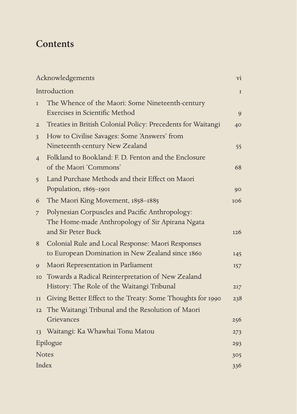## **Contents**

|                          | Acknowledgements                                                                                   | vi           |
|--------------------------|----------------------------------------------------------------------------------------------------|--------------|
| Introduction             |                                                                                                    | $\mathbf{1}$ |
| I                        | The Whence of the Maori: Some Nineteenth-century                                                   |              |
|                          | Exercises in Scientific Method                                                                     | 9            |
| $\overline{2}$           | Treaties in British Colonial Policy: Precedents for Waitangi                                       | 40           |
| 3                        | How to Civilise Savages: Some 'Answers' from<br>Nineteenth-century New Zealand                     | 55           |
| $\overline{\mathcal{A}}$ | Folkland to Bookland: F. D. Fenton and the Enclosure<br>of the Maori 'Commons'                     | 68           |
| 5                        | Land Purchase Methods and their Effect on Maori                                                    |              |
|                          | Population, 1865-1901                                                                              | 90           |
| 6                        | The Maori King Movement, 1858-1885                                                                 | 106          |
| 7                        | Polynesian Corpuscles and Pacific Anthropology:<br>The Home-made Anthropology of Sir Apirana Ngata |              |
|                          | and Sir Peter Buck                                                                                 | 126          |
| 8                        | Colonial Rule and Local Response: Maori Responses                                                  |              |
|                          | to European Domination in New Zealand since 1860                                                   | 145          |
| 9                        | Maori Representation in Parliament                                                                 | 157          |
| I <sub>O</sub>           | Towards a Radical Reinterpretation of New Zealand                                                  |              |
|                          | History: The Role of the Waitangi Tribunal                                                         | 217          |
| II                       | Giving Better Effect to the Treaty: Some Thoughts for 1990                                         | 238          |
| 12                       | The Waitangi Tribunal and the Resolution of Maori                                                  |              |
|                          | Grievances                                                                                         | 256          |
| 13                       | Waitangi: Ka Whawhai Tonu Matou                                                                    | 273          |
| Epilogue                 |                                                                                                    | 293          |
| <b>Notes</b>             |                                                                                                    | 305          |
|                          | Index                                                                                              |              |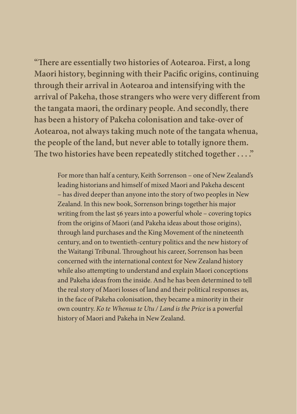**"There are essentially two histories of Aotearoa. First, a long Maori history, beginning with their Pacific origins, continuing through their arrival in Aotearoa and intensifying with the arrival of Pakeha, those strangers who were very different from the tangata maori, the ordinary people. And secondly, there has been a history of Pakeha colonisation and take-over of Aotearoa, not always taking much note of the tangata whenua, the people of the land, but never able to totally ignore them. The two histories have been repeatedly stitched together . . . ."**

> For more than half a century, Keith Sorrenson – one of New Zealand's leading historians and himself of mixed Maori and Pakeha descent – has dived deeper than anyone into the story of two peoples in New Zealand. In this new book, Sorrenson brings together his major writing from the last 56 years into a powerful whole – covering topics from the origins of Maori (and Pakeha ideas about those origins), through land purchases and the King Movement of the nineteenth century, and on to twentieth-century politics and the new history of the Waitangi Tribunal. Throughout his career, Sorrenson has been concerned with the international context for New Zealand history while also attempting to understand and explain Maori conceptions and Pakeha ideas from the inside. And he has been determined to tell the real story of Maori losses of land and their political responses as, in the face of Pakeha colonisation, they became a minority in their own country. *Ko te Whenua te Utu / Land is the Price* is a powerful history of Maori and Pakeha in New Zealand.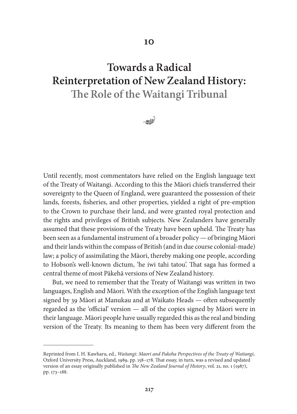## **Towards a Radical Reinterpretation of New Zealand History: The Role of the Waitangi Tribunal\***

 $\mathscr{L}$ 

Until recently, most commentators have relied on the English language text of the Treaty of Waitangi. According to this the Māori chiefs transferred their sovereignty to the Queen of England, were guaranteed the possession of their lands, forests, fisheries, and other properties, yielded a right of pre-emption to the Crown to purchase their land, and were granted royal protection and the rights and privileges of British subjects. New Zealanders have generally assumed that these provisions of the Treaty have been upheld. The Treaty has been seen as a fundamental instrument of a broader policy — of bringing Māori and their lands within the compass of British (and in due course colonial-made) law; a policy of assimilating the Māori, thereby making one people, according to Hobson's well-known dictum, 'he iwi tahi tatou'. That saga has formed a central theme of most Pākehā versions of New Zealand history.

But, we need to remember that the Treaty of Waitangi was written in two languages, English and Māori. With the exception of the English language text signed by 39 Māori at Manukau and at Waikato Heads — often subsequently regarded as the 'official' version — all of the copies signed by Māori were in their language. Māori people have usually regarded this as the real and binding version of the Treaty. Its meaning to them has been very different from the

<sup>\*</sup>Reprinted from I. H. Kawharu, ed., *Waitangi: Maori and Pakeha Perspectives of the Treaty of Waitangi*, Oxford University Press, Auckland, 1989, pp. 158–178. That essay, in turn, was a revised and updated version of an essay originally published in *The New Zealand Journal of History*, vol. 21, no. 1 (1987), pp. 173–188.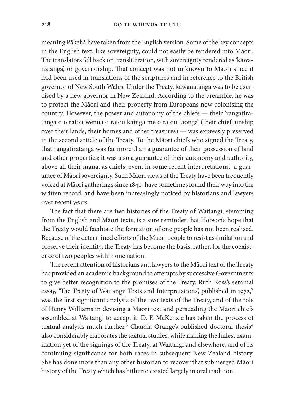meaning Pākehā have taken from the English version. Some of the key concepts in the English text, like sovereignty, could not easily be rendered into Māori. The translators fell back on transliteration, with sovereignty rendered as 'kāwanatanga', or governorship. That concept was not unknown to Māori since it had been used in translations of the scriptures and in reference to the British governor of New South Wales. Under the Treaty, kāwanatanga was to be exercised by a new governor in New Zealand. According to the preamble, he was to protect the Māori and their property from Europeans now colonising the country. However, the power and autonomy of the chiefs — their 'rangatiratanga o o ratou wenua o ratou kainga me o ratou taonga' (their chieftainship over their lands, their homes and other treasures) — was expressly preserved in the second article of the Treaty. To the Māori chiefs who signed the Treaty, that rangatiratanga was far more than a guarantee of their possession of land and other properties; it was also a guarantee of their autonomy and authority, above all their mana, as chiefs; even, in some recent interpretations,<sup>1</sup> a guarantee of Māori sovereignty. Such Māori views of the Treaty have been frequently voiced at Māori gatherings since 1840, have sometimes found their way into the written record, and have been increasingly noticed by historians and lawyers over recent years.

The fact that there are two histories of the Treaty of Waitangi, stemming from the English and Māori texts, is a sure reminder that Hobson's hope that the Treaty would facilitate the formation of one people has not been realised. Because of the determined efforts of the Māori people to resist assimilation and preserve their identity, the Treaty has become the basis, rather, for the coexistence of two peoples within one nation.

The recent attention of historians and lawyers to the Māori text of the Treaty has provided an academic background to attempts by successive Governments to give better recognition to the promises of the Treaty. Ruth Ross's seminal essay, 'The Treaty of Waitangi: Texts and Interpretations', published in 1972,<sup>2</sup> was the first significant analysis of the two texts of the Treaty, and of the role of Henry Williams in devising a Māori text and persuading the Māori chiefs assembled at Waitangi to accept it. D. F. McKenzie has taken the process of textual analysis much further.<sup>3</sup> Claudia Orange's published doctoral thesis<sup>4</sup> also considerably elaborates the textual studies, while making the fullest examination yet of the signings of the Treaty, at Waitangi and elsewhere, and of its continuing significance for both races in subsequent New Zealand history. She has done more than any other historian to recover that submerged Māori history of the Treaty which has hitherto existed largely in oral tradition.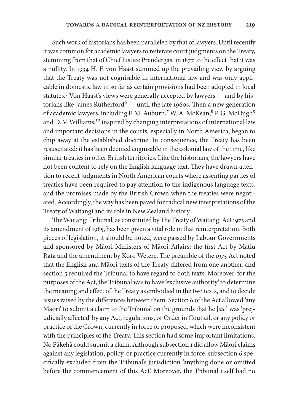Such work of historians has been paralleled by that of lawyers. Until recently it was common for academic lawyers to reiterate court judgments on the Treaty, stemming from that of Chief Justice Prendergast in 1877 to the effect that it was a nullity. In 1934 H. F. von Haast summed up the prevailing view by arguing that the Treaty was not cognisable in international law and was only applicable in domestic law in so far as certain provisions had been adopted in local statutes.<sup>5</sup> Von Haast's views were generally accepted by lawyers — and by historians like James Rutherford $^6-$  until the late 1960s. Then a new generation of academic lawyers, including F. M. Auburn,<sup>7</sup> W. A. McKean,<sup>8</sup> P. G. McHugh<sup>9</sup> and D. V. Williams,<sup>10</sup> inspired by changing interpretations of international law and important decisions in the courts, especially in North America, began to chip away at the established doctrine. In consequence, the Treaty has been resuscitated: it has been deemed cognisable in the colonial law of the time, like similar treaties in other British territories. Like the historians, the lawyers have not been content to rely on the English language text. They have drawn attention to recent judgments in North American courts where assenting parties of treaties have been required to pay attention to the indigenous language texts, and the promises made by the British Crown when the treaties were negotiated. Accordingly, the way has been paved for radical new interpretations of the Treaty of Waitangi and its role in New Zealand history.

The Waitangi Tribunal, as constituted by The Treaty of Waitangi Act 1975 and its amendment of 1985, has been given a vital role in that reinterpretation. Both pieces of legislation, it should be noted, were passed by Labour Governments and sponsored by Māori Ministers of Māori Affairs: the first Act by Matiu Rata and the amendment by Koro Wetere. The preamble of the 1975 Act noted that the English and Māori texts of the Treaty differed from one another, and section 5 required the Tribunal to have regard to both texts. Moreover, for the purposes of the Act, the Tribunal was to have 'exclusive authority' to determine the meaning and effect of the Treaty as embodied in the two texts, and to decide issues raised by the differences between them. Section 6 of the Act allowed 'any Maori' to submit a claim to the Tribunal on the grounds that he [*sic*] was 'prejudicially affected' by any Act, regulations, or Order in Council, or any policy or practice of the Crown, currently in force or proposed, which were inconsistent with the principles of the Treaty. This section had some important limitations. No Pākehā could submit a claim. Although subsection 1 did allow Māori claims against any legislation, policy, or practice currently in force, subsection 6 specifically excluded from the Tribunal's jurisdiction 'anything done or omitted before the commencement of this Act'. Moreover, the Tribunal itself had no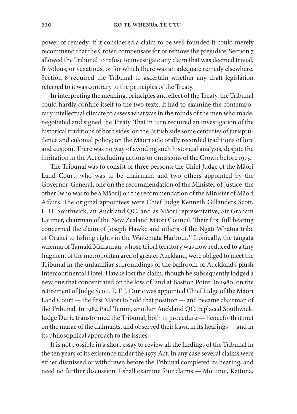power of remedy; if it considered a claim to be well founded it could merely recommend that the Crown compensate for or remove the prejudice. Section 7 allowed the Tribunal to refuse to investigate any claim that was deemed trivial, frivolous, or vexatious, or for which there was an adequate remedy elsewhere. Section 8 required the Tribunal to ascertain whether any draft legislation referred to it was contrary to the principles of the Treaty.

In interpreting the meaning, principles and effect of the Treaty, the Tribunal could hardly confine itself to the two texts. It had to examine the contemporary intellectual climate to assess what was in the minds of the men who made, negotiated and signed the Treaty. That in turn required an investigation of the historical traditions of both sides: on the British side some centuries of jurisprudence and colonial policy; on the Māori side orally recorded traditions of lore and custom. There was no way of avoiding such historical analysis, despite the limitation in the Act excluding actions or omissions of the Crown before 1975.

The Tribunal was to consist of three persons: the Chief Judge of the Māori Land Court, who was to be chairman, and two others appointed by the Governor-General, one on the recommendation of the Minister of Justice, the other (who was to be a Māori) on the recommendation of the Minister of Māori Affairs. The original appointees were Chief Judge Kenneth Gillanders Scott, L. H. Southwick, an Auckland QC, and as Māori representative, Sir Graham Latimer, chairman of the New Zealand Māori Council. Their first full hearing concerned the claim of Joseph Hawke and others of the Ngāti Whātua tribe of Orakei to fishing rights in the Waitemata Harbour.<sup>11</sup> Ironically, the tangata whenua of Tamaki Makaurau, whose tribal territory was now reduced to a tiny fragment of the metropolitan area of greater Auckland, were obliged to meet the Tribunal in the unfamiliar surroundings of the ballroom of Auckland's plush Intercontinental Hotel. Hawke lost the claim, though he subsequently lodged a new one that concentrated on the loss of land at Bastion Point. In 1980, on the retirement of Judge Scott, E.T. J. Durie was appointed Chief Judge of the Māori Land Court — the first Māori to hold that position — and became chairman of the Tribunal. In 1984 Paul Temm, another Auckland QC, replaced Southwick. Judge Durie transformed the Tribunal, both in procedure — henceforth it met on the marae of the claimants, and observed their kawa in its hearings — and in its philosophical approach to the issues.

It is not possible in a short essay to review all the findings of the Tribunal in the ten years of its existence under the 1975 Act. In any case several claims were either dismissed or withdrawn before the Tribunal completed its hearing, and need no further discussion. I shall examine four claims — Motunui, Kaituna,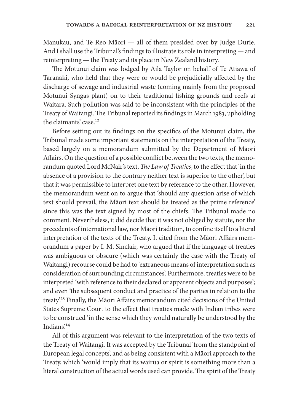Manukau, and Te Reo Māori — all of them presided over by Judge Durie. And I shall use the Tribunal's findings to illustrate its role in interpreting — and reinterpreting — the Treaty and its place in New Zealand history.

The Motunui claim was lodged by Aila Taylor on behalf of Te Atiawa of Taranaki, who held that they were or would be prejudicially affected by the discharge of sewage and industrial waste (coming mainly from the proposed Motunui Syngas plant) on to their traditional fishing grounds and reefs at Waitara. Such pollution was said to be inconsistent with the principles of the Treaty of Waitangi. The Tribunal reported its findings in March 1983, upholding the claimants' case.12

Before setting out its findings on the specifics of the Motunui claim, the Tribunal made some important statements on the interpretation of the Treaty, based largely on a memorandum submitted by the Department of Māori Affairs. On the question of a possible conflict between the two texts, the memorandum quoted Lord McNair's text, *The Law of Treaties*, to the effect that 'in the absence of a provision to the contrary neither text is superior to the other', but that it was permissible to interpret one text by reference to the other. However, the memorandum went on to argue that 'should any question arise of which text should prevail, the Māori text should be treated as the prime reference' since this was the text signed by most of the chiefs. The Tribunal made no comment. Nevertheless, it did decide that it was not obliged by statute, nor the precedents of international law, nor Māori tradition, to confine itself to a literal interpretation of the texts of the Treaty. It cited from the Māori Affairs memorandum a paper by I. M. Sinclair, who argued that if the language of treaties was ambiguous or obscure (which was certainly the case with the Treaty of Waitangi) recourse could be had to 'extraneous means of interpretation such as consideration of surrounding circumstances'. Furthermore, treaties were to be interpreted 'with reference to their declared or apparent objects and purposes'; and even 'the subsequent conduct and practice of the parties in relation to the treaty'.13 Finally, the Māori Affairs memorandum cited decisions of the United States Supreme Court to the effect that treaties made with Indian tribes were to be construed 'in the sense which they would naturally be understood by the Indians'<sup>14</sup>

All of this argument was relevant to the interpretation of the two texts of the Treaty of Waitangi. It was accepted by the Tribunal 'from the standpoint of European legal concepts', and as being consistent with a Māori approach to the Treaty, which 'would imply that its wairua or spirit is something more than a literal construction of the actual words used can provide. The spirit of the Treaty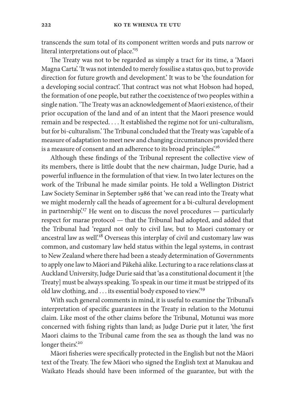transcends the sum total of its component written words and puts narrow or literal interpretations out of place.<sup>15</sup>

The Treaty was not to be regarded as simply a tract for its time, a 'Maori Magna Carta'. 'It was not intended to merely fossilise a status quo, but to provide direction for future growth and development.' It was to be 'the foundation for a developing social contract'. That contract was not what Hobson had hoped, the formation of one people, but rather the coexistence of two peoples within a single nation. 'The Treaty was an acknowledgement of Maori existence, of their prior occupation of the land and of an intent that the Maori presence would remain and be respected. . . . It established the regime not for uni-culturalism, but for bi-culturalism.' The Tribunal concluded that the Treaty was 'capable of a measure of adaptation to meet new and changing circumstances provided there is a measure of consent and an adherence to its broad principles.<sup>16</sup>

Although these findings of the Tribunal represent the collective view of its members, there is little doubt that the new chairman, Judge Durie, had a powerful influence in the formulation of that view. In two later lectures on the work of the Tribunal he made similar points. He told a Wellington District Law Society Seminar in September 1986 that 'we can read into the Treaty what we might modernly call the heads of agreement for a bi-cultural development in partnership.<sup>17</sup> He went on to discuss the novel procedures  $-$  particularly respect for marae protocol — that the Tribunal had adopted, and added that the Tribunal had 'regard not only to civil law, but to Maori customary or ancestral law as well'.18 Overseas this interplay of civil and customary law was common, and customary law held status within the legal systems, in contrast to New Zealand where there had been a steady determination of Governments to apply one law to Māori and Pākehā alike. Lecturing to a race relations class at Auckland University, Judge Durie said that 'as a constitutional document it [the Treaty] must be always speaking. To speak in our time it must be stripped of its old law clothing, and . . . its essential body exposed to view.'19

With such general comments in mind, it is useful to examine the Tribunal's interpretation of specific guarantees in the Treaty in relation to the Motunui claim. Like most of the other claims before the Tribunal, Motunui was more concerned with fishing rights than land; as Judge Durie put it later, 'the first Maori claims to the Tribunal came from the sea as though the land was no longer theirs.<sup>20</sup>

Māori fisheries were specifically protected in the English but not the Māori text of the Treaty. The few Māori who signed the English text at Manukau and Waikato Heads should have been informed of the guarantee, but with the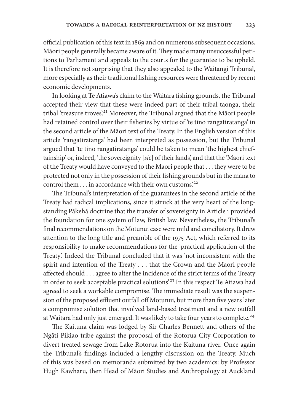official publication of this text in 1869 and on numerous subsequent occasions, Māori people generally became aware of it. They made many unsuccessful petitions to Parliament and appeals to the courts for the guarantee to be upheld. It is therefore not surprising that they also appealed to the Waitangi Tribunal, more especially as their traditional fishing resources were threatened by recent economic developments.

In looking at Te Atiawa's claim to the Waitara fishing grounds, the Tribunal accepted their view that these were indeed part of their tribal taonga, their tribal 'treasure troves'.<sup>21</sup> Moreover, the Tribunal argued that the Māori people had retained control over their fisheries by virtue of 'te tino rangatiratanga' in the second article of the Māori text of the Treaty. In the English version of this article 'rangatiratanga' had been interpreted as possession, but the Tribunal argued that 'te tino rangatiratanga' could be taken to mean 'the highest chieftainship' or, indeed, 'the sovereignity [*sic*] of their lands', and that the 'Maori text of the Treaty would have conveyed to the Maori people that . . . they were to be protected not only in the possession of their fishing grounds but in the mana to control them  $\ldots$  in accordance with their own customs.<sup>22</sup>

The Tribunal's interpretation of the guarantees in the second article of the Treaty had radical implications, since it struck at the very heart of the longstanding Pākehā doctrine that the transfer of sovereignty in Article 1 provided the foundation for one system of law, British law. Nevertheless, the Tribunal's final recommendations on the Motunui case were mild and conciliatory. It drew attention to the long title and preamble of the 1975 Act, which referred to its responsibility to make recommendations for the 'practical application of the Treaty'. Indeed the Tribunal concluded that it was 'not inconsistent with the spirit and intention of the Treaty . . . that the Crown and the Maori people affected should . . . agree to alter the incidence of the strict terms of the Treaty in order to seek acceptable practical solutions.<sup>23</sup> In this respect Te Atiawa had agreed to seek a workable compromise. The immediate result was the suspension of the proposed effluent outfall off Motunui, but more than five years later a compromise solution that involved land-based treatment and a new outfall at Waitara had only just emerged. It was likely to take four years to complete.24

The Kaituna claim was lodged by Sir Charles Bennett and others of the Ngāti Pikiao tribe against the proposal of the Rotorua City Corporation to divert treated sewage from Lake Rotorua into the Kaituna river. Once again the Tribunal's findings included a lengthy discussion on the Treaty. Much of this was based on memoranda submitted by two academics: by Professor Hugh Kawharu, then Head of Māori Studies and Anthropology at Auckland